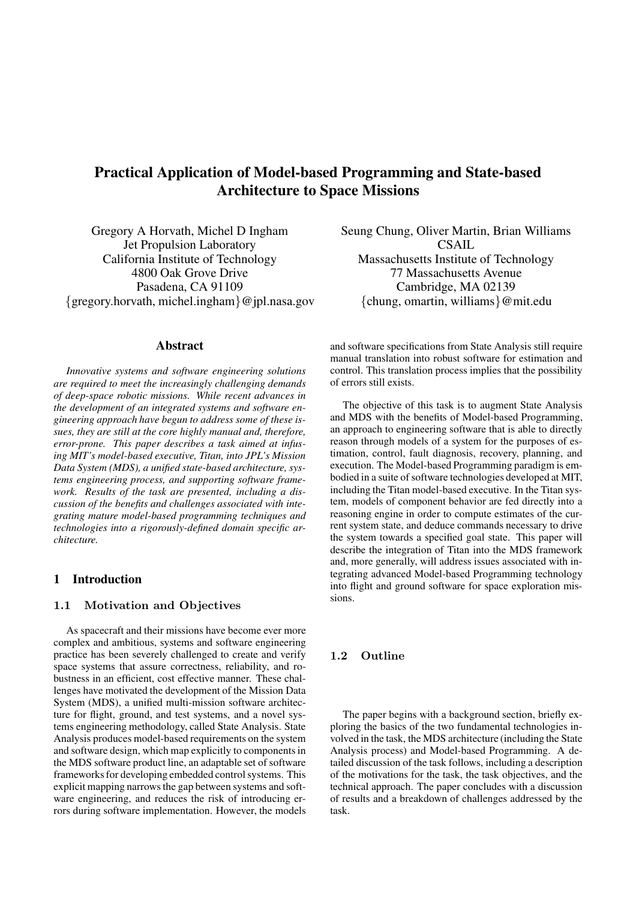# **Practical Application of Model-based Programming and State-based Architecture to Space Missions**

Gregory A Horvath, Michel D Ingham Jet Propulsion Laboratory California Institute of Technology 4800 Oak Grove Drive Pasadena, CA 91109 {gregory.horvath, michel.ingham}@jpl.nasa.gov

### **Abstract**

*Innovative systems and software engineering solutions are required to meet the increasingly challenging demands of deep-space robotic missions. While recent advances in the development of an integrated systems and software engineering approach have begun to address some of these issues, they are still at the core highly manual and, therefore, error-prone. This paper describes a task aimed at infusing MIT's model-based executive, Titan, into JPL's Mission Data System (MDS), a unified state-based architecture, systems engineering process, and supporting software framework. Results of the task are presented, including a discussion of the benefits and challenges associated with integrating mature model-based programming techniques and technologies into a rigorously-defined domain specific architecture.*

## **1 Introduction**

### 1.1 Motivation and Objectives

As spacecraft and their missions have become ever more complex and ambitious, systems and software engineering practice has been severely challenged to create and verify space systems that assure correctness, reliability, and robustness in an efficient, cost effective manner. These challenges have motivated the development of the Mission Data System (MDS), a unified multi-mission software architecture for flight, ground, and test systems, and a novel systems engineering methodology, called State Analysis. State Analysis produces model-based requirements on the system and software design, which map explicitly to componentsin the MDS software product line, an adaptable set of software frameworks for developing embedded control systems. This explicit mapping narrows the gap between systems and software engineering, and reduces the risk of introducing errors during software implementation. However, the models Seung Chung, Oliver Martin, Brian Williams **CSAIL** Massachusetts Institute of Technology 77 Massachusetts Avenue Cambridge, MA 02139 {chung, omartin, williams}@mit.edu

and software specifications from State Analysis still require manual translation into robust software for estimation and control. This translation process implies that the possibility of errors still exists.

The objective of this task is to augment State Analysis and MDS with the benefits of Model-based Programming, an approach to engineering software that is able to directly reason through models of a system for the purposes of estimation, control, fault diagnosis, recovery, planning, and execution. The Model-based Programming paradigm is embodied in a suite of software technologies developed at MIT, including the Titan model-based executive. In the Titan system, models of component behavior are fed directly into a reasoning engine in order to compute estimates of the current system state, and deduce commands necessary to drive the system towards a specified goal state. This paper will describe the integration of Titan into the MDS framework and, more generally, will address issues associated with integrating advanced Model-based Programming technology into flight and ground software for space exploration missions.

### 1.2 Outline

The paper begins with a background section, briefly exploring the basics of the two fundamental technologies involved in the task, the MDS architecture (including the State Analysis process) and Model-based Programming. A detailed discussion of the task follows, including a description of the motivations for the task, the task objectives, and the technical approach. The paper concludes with a discussion of results and a breakdown of challenges addressed by the task.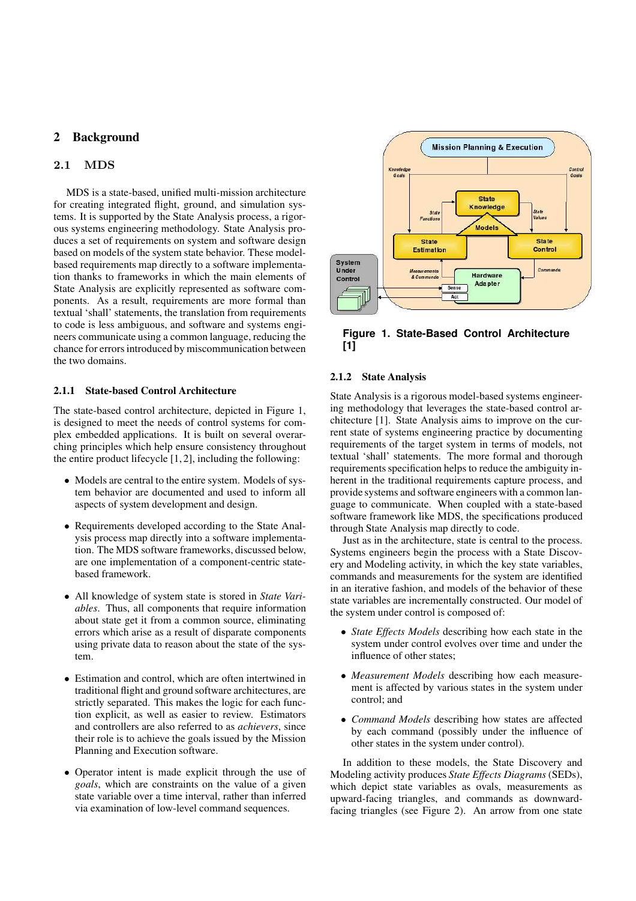# **2 Background**

### 2.1 MDS

MDS is a state-based, unified multi-mission architecture for creating integrated flight, ground, and simulation systems. It is supported by the State Analysis process, a rigorous systems engineering methodology. State Analysis produces a set of requirements on system and software design based on models of the system state behavior. These modelbased requirements map directly to a software implementation thanks to frameworks in which the main elements of State Analysis are explicitly represented as software components. As a result, requirements are more formal than textual 'shall' statements, the translation from requirements to code is less ambiguous, and software and systems engineers communicate using a common language, reducing the chance for errorsintroduced by miscommunication between the two domains.

#### **2.1.1 State-based Control Architecture**

The state-based control architecture, depicted in Figure 1, is designed to meet the needs of control systems for complex embedded applications. It is built on several overarching principles which help ensure consistency throughout the entire product lifecycle [1, 2], including the following:

- Models are central to the entire system. Models of system behavior are documented and used to inform all aspects of system development and design.
- Requirements developed according to the State Analysis process map directly into a software implementation. The MDS software frameworks, discussed below, are one implementation of a component-centric statebased framework.
- All knowledge of system state is stored in *State Variables*. Thus, all components that require information about state get it from a common source, eliminating errors which arise as a result of disparate components using private data to reason about the state of the system.
- Estimation and control, which are often intertwined in traditional flight and ground software architectures, are strictly separated. This makes the logic for each function explicit, as well as easier to review. Estimators and controllers are also referred to as *achievers*, since their role is to achieve the goals issued by the Mission Planning and Execution software.
- Operator intent is made explicit through the use of *goals*, which are constraints on the value of a given state variable over a time interval, rather than inferred via examination of low-level command sequences.



### **Figure 1. State-Based Control Architecture [1]**

#### **2.1.2 State Analysis**

State Analysis is a rigorous model-based systems engineering methodology that leverages the state-based control architecture [1]. State Analysis aims to improve on the current state of systems engineering practice by documenting requirements of the target system in terms of models, not textual 'shall' statements. The more formal and thorough requirements specification helps to reduce the ambiguity inherent in the traditional requirements capture process, and provide systems and software engineers with a common language to communicate. When coupled with a state-based software framework like MDS, the specifications produced through State Analysis map directly to code.

Just as in the architecture, state is central to the process. Systems engineers begin the process with a State Discovery and Modeling activity, in which the key state variables, commands and measurements for the system are identified in an iterative fashion, and models of the behavior of these state variables are incrementally constructed. Our model of the system under control is composed of:

- *State Effects Models* describing how each state in the system under control evolves over time and under the influence of other states;
- *Measurement Models* describing how each measurement is affected by various states in the system under control; and
- *Command Models* describing how states are affected by each command (possibly under the influence of other states in the system under control).

In addition to these models, the State Discovery and Modeling activity produces *State Effects Diagrams* (SEDs), which depict state variables as ovals, measurements as upward-facing triangles, and commands as downwardfacing triangles (see Figure 2). An arrow from one state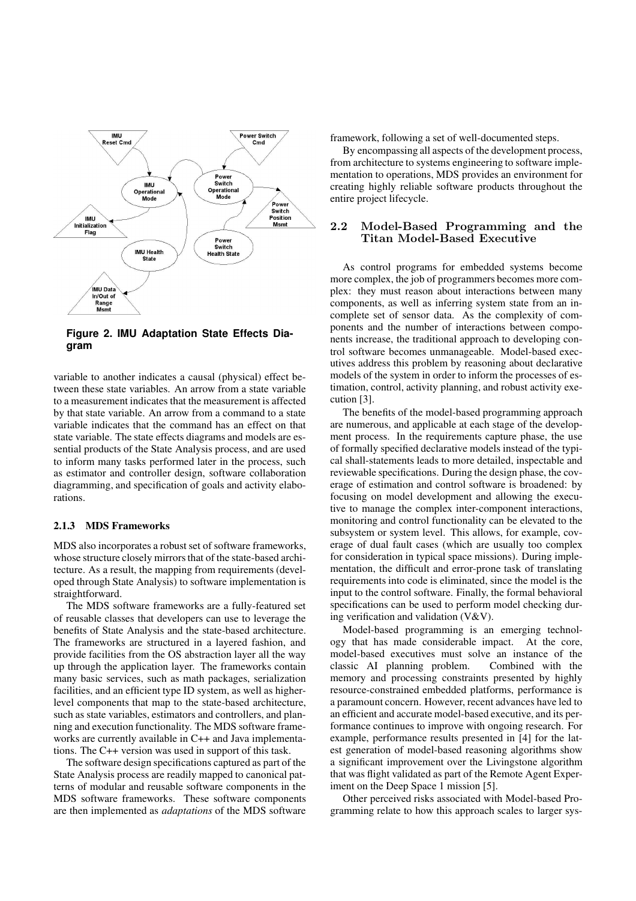

**Figure 2. IMU Adaptation State Effects Diagram**

variable to another indicates a causal (physical) effect between these state variables. An arrow from a state variable to a measurement indicates that the measurement is affected by that state variable. An arrow from a command to a state variable indicates that the command has an effect on that state variable. The state effects diagrams and models are essential products of the State Analysis process, and are used to inform many tasks performed later in the process, such as estimator and controller design, software collaboration diagramming, and specification of goals and activity elaborations.

#### **2.1.3 MDS Frameworks**

MDS also incorporates a robust set of software frameworks, whose structure closely mirrors that of the state-based architecture. As a result, the mapping from requirements (developed through State Analysis) to software implementation is straightforward.

The MDS software frameworks are a fully-featured set of reusable classes that developers can use to leverage the benefits of State Analysis and the state-based architecture. The frameworks are structured in a layered fashion, and provide facilities from the OS abstraction layer all the way up through the application layer. The frameworks contain many basic services, such as math packages, serialization facilities, and an efficient type ID system, as well as higherlevel components that map to the state-based architecture, such as state variables, estimators and controllers, and planning and execution functionality. The MDS software frameworks are currently available in C++ and Java implementations. The C++ version was used in support of this task.

The software design specifications captured as part of the State Analysis process are readily mapped to canonical patterns of modular and reusable software components in the MDS software frameworks. These software components are then implemented as *adaptations* of the MDS software framework, following a set of well-documented steps.

By encompassing all aspects of the development process, from architecture to systems engineering to software implementation to operations, MDS provides an environment for creating highly reliable software products throughout the entire project lifecycle.

#### 2.2 Model-Based Programming and the Titan Model-Based Executive

As control programs for embedded systems become more complex, the job of programmers becomes more complex: they must reason about interactions between many components, as well as inferring system state from an incomplete set of sensor data. As the complexity of components and the number of interactions between components increase, the traditional approach to developing control software becomes unmanageable. Model-based executives address this problem by reasoning about declarative models of the system in order to inform the processes of estimation, control, activity planning, and robust activity execution [3].

The benefits of the model-based programming approach are numerous, and applicable at each stage of the development process. In the requirements capture phase, the use of formally specified declarative models instead of the typical shall-statements leads to more detailed, inspectable and reviewable specifications. During the design phase, the coverage of estimation and control software is broadened: by focusing on model development and allowing the executive to manage the complex inter-component interactions, monitoring and control functionality can be elevated to the subsystem or system level. This allows, for example, coverage of dual fault cases (which are usually too complex for consideration in typical space missions). During implementation, the difficult and error-prone task of translating requirements into code is eliminated, since the model is the input to the control software. Finally, the formal behavioral specifications can be used to perform model checking during verification and validation (V&V).

Model-based programming is an emerging technology that has made considerable impact. At the core, model-based executives must solve an instance of the classic AI planning problem. Combined with the memory and processing constraints presented by highly resource-constrained embedded platforms, performance is a paramount concern. However, recent advances have led to an efficient and accurate model-based executive, and its performance continues to improve with ongoing research. For example, performance results presented in [4] for the latest generation of model-based reasoning algorithms show a significant improvement over the Livingstone algorithm that was flight validated as part of the Remote Agent Experiment on the Deep Space 1 mission [5].

Other perceived risks associated with Model-based Programming relate to how this approach scales to larger sys-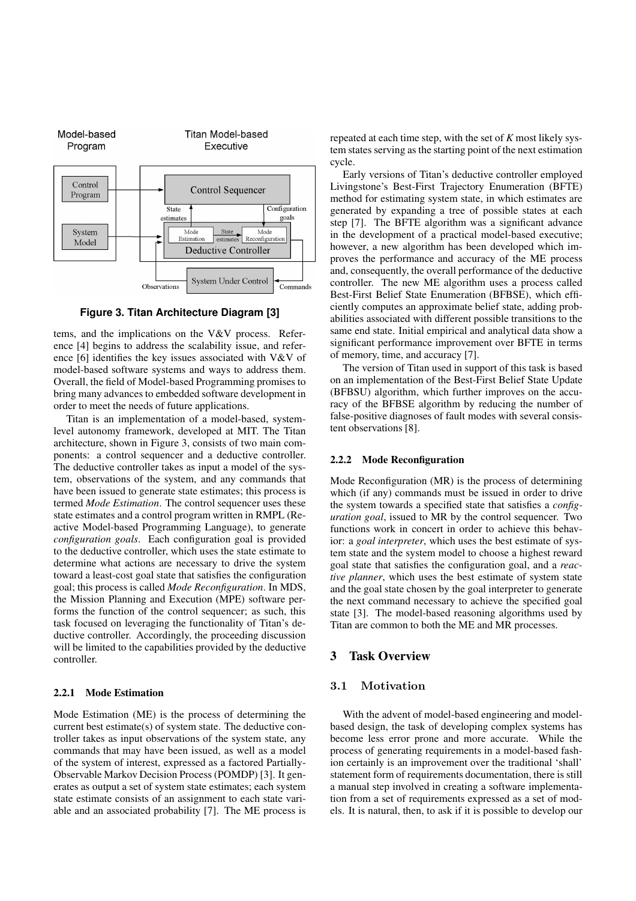

**Figure 3. Titan Architecture Diagram [3]**

tems, and the implications on the V&V process. Reference [4] begins to address the scalability issue, and reference [6] identifies the key issues associated with V&V of model-based software systems and ways to address them. Overall, the field of Model-based Programming promises to bring many advances to embedded software development in order to meet the needs of future applications.

Titan is an implementation of a model-based, systemlevel autonomy framework, developed at MIT. The Titan architecture, shown in Figure 3, consists of two main components: a control sequencer and a deductive controller. The deductive controller takes as input a model of the system, observations of the system, and any commands that have been issued to generate state estimates; this process is termed *Mode Estimation*. The control sequencer uses these state estimates and a control program written in RMPL (Reactive Model-based Programming Language), to generate *configuration goals*. Each configuration goal is provided to the deductive controller, which uses the state estimate to determine what actions are necessary to drive the system toward a least-cost goal state that satisfies the configuration goal; this process is called *Mode Reconfiguration*. In MDS, the Mission Planning and Execution (MPE) software performs the function of the control sequencer; as such, this task focused on leveraging the functionality of Titan's deductive controller. Accordingly, the proceeding discussion will be limited to the capabilities provided by the deductive controller.

#### **2.2.1 Mode Estimation**

Mode Estimation (ME) is the process of determining the current best estimate(s) of system state. The deductive controller takes as input observations of the system state, any commands that may have been issued, as well as a model of the system of interest, expressed as a factored Partially-Observable Markov Decision Process (POMDP) [3]. It generates as output a set of system state estimates; each system state estimate consists of an assignment to each state variable and an associated probability [7]. The ME process is

repeated at each time step, with the set of *K* most likely system states serving as the starting point of the next estimation cycle.

Early versions of Titan's deductive controller employed Livingstone's Best-First Trajectory Enumeration (BFTE) method for estimating system state, in which estimates are generated by expanding a tree of possible states at each step [7]. The BFTE algorithm was a significant advance in the development of a practical model-based executive; however, a new algorithm has been developed which improves the performance and accuracy of the ME process and, consequently, the overall performance of the deductive controller. The new ME algorithm uses a process called Best-First Belief State Enumeration (BFBSE), which efficiently computes an approximate belief state, adding probabilities associated with different possible transitions to the same end state. Initial empirical and analytical data show a significant performance improvement over BFTE in terms of memory, time, and accuracy [7].

The version of Titan used in support of this task is based on an implementation of the Best-First Belief State Update (BFBSU) algorithm, which further improves on the accuracy of the BFBSE algorithm by reducing the number of false-positive diagnoses of fault modes with several consistent observations [8].

#### **2.2.2 Mode Reconfiguration**

Mode Reconfiguration (MR) is the process of determining which (if any) commands must be issued in order to drive the system towards a specified state that satisfies a *configuration goal*, issued to MR by the control sequencer. Two functions work in concert in order to achieve this behavior: a *goal interpreter*, which uses the best estimate of system state and the system model to choose a highest reward goal state that satisfies the configuration goal, and a *reactive planner*, which uses the best estimate of system state and the goal state chosen by the goal interpreter to generate the next command necessary to achieve the specified goal state [3]. The model-based reasoning algorithms used by Titan are common to both the ME and MR processes.

### **3 Task Overview**

### 3.1 Motivation

With the advent of model-based engineering and modelbased design, the task of developing complex systems has become less error prone and more accurate. While the process of generating requirements in a model-based fashion certainly is an improvement over the traditional 'shall' statement form of requirements documentation, there is still a manual step involved in creating a software implementation from a set of requirements expressed as a set of models. It is natural, then, to ask if it is possible to develop our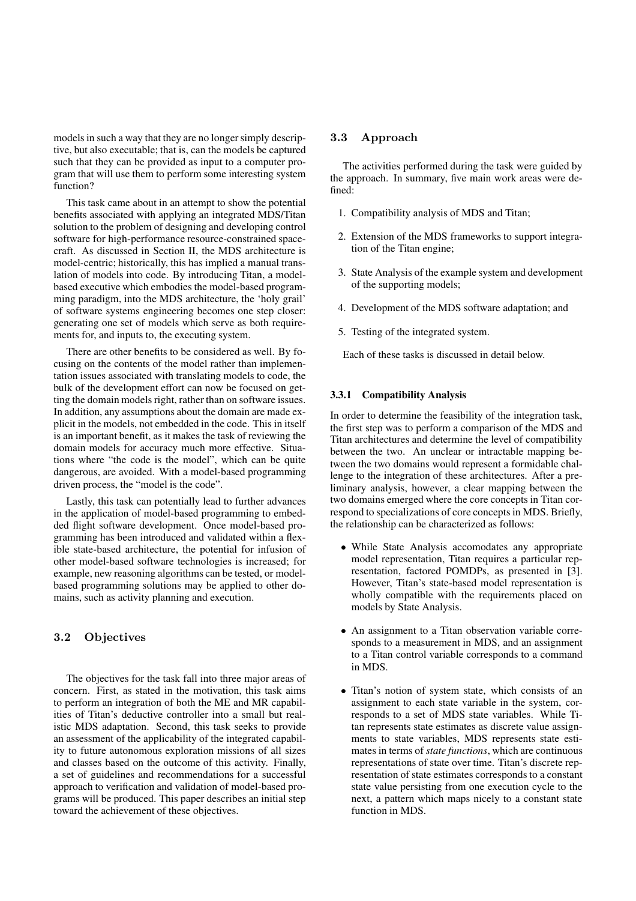models in such a way that they are no longer simply descriptive, but also executable; that is, can the models be captured such that they can be provided as input to a computer program that will use them to perform some interesting system function?

This task came about in an attempt to show the potential benefits associated with applying an integrated MDS/Titan solution to the problem of designing and developing control software for high-performance resource-constrained spacecraft. As discussed in Section II, the MDS architecture is model-centric; historically, this has implied a manual translation of models into code. By introducing Titan, a modelbased executive which embodies the model-based programming paradigm, into the MDS architecture, the 'holy grail' of software systems engineering becomes one step closer: generating one set of models which serve as both requirements for, and inputs to, the executing system.

There are other benefits to be considered as well. By focusing on the contents of the model rather than implementation issues associated with translating models to code, the bulk of the development effort can now be focused on getting the domain models right, rather than on software issues. In addition, any assumptions about the domain are made explicit in the models, not embedded in the code. This in itself is an important benefit, as it makes the task of reviewing the domain models for accuracy much more effective. Situations where "the code is the model", which can be quite dangerous, are avoided. With a model-based programming driven process, the "model is the code".

Lastly, this task can potentially lead to further advances in the application of model-based programming to embedded flight software development. Once model-based programming has been introduced and validated within a flexible state-based architecture, the potential for infusion of other model-based software technologies is increased; for example, new reasoning algorithms can be tested, or modelbased programming solutions may be applied to other domains, such as activity planning and execution.

### 3.2 Objectives

The objectives for the task fall into three major areas of concern. First, as stated in the motivation, this task aims to perform an integration of both the ME and MR capabilities of Titan's deductive controller into a small but realistic MDS adaptation. Second, this task seeks to provide an assessment of the applicability of the integrated capability to future autonomous exploration missions of all sizes and classes based on the outcome of this activity. Finally, a set of guidelines and recommendations for a successful approach to verification and validation of model-based programs will be produced. This paper describes an initial step toward the achievement of these objectives.

#### 3.3 Approach

The activities performed during the task were guided by the approach. In summary, five main work areas were defined:

- 1. Compatibility analysis of MDS and Titan;
- 2. Extension of the MDS frameworks to support integration of the Titan engine;
- 3. State Analysis of the example system and development of the supporting models;
- 4. Development of the MDS software adaptation; and
- 5. Testing of the integrated system.

Each of these tasks is discussed in detail below.

#### **3.3.1 Compatibility Analysis**

In order to determine the feasibility of the integration task, the first step was to perform a comparison of the MDS and Titan architectures and determine the level of compatibility between the two. An unclear or intractable mapping between the two domains would represent a formidable challenge to the integration of these architectures. After a preliminary analysis, however, a clear mapping between the two domains emerged where the core concepts in Titan correspond to specializations of core concepts in MDS. Briefly, the relationship can be characterized as follows:

- While State Analysis accomodates any appropriate model representation, Titan requires a particular representation, factored POMDPs, as presented in [3]. However, Titan's state-based model representation is wholly compatible with the requirements placed on models by State Analysis.
- An assignment to a Titan observation variable corresponds to a measurement in MDS, and an assignment to a Titan control variable corresponds to a command in MDS.
- Titan's notion of system state, which consists of an assignment to each state variable in the system, corresponds to a set of MDS state variables. While Titan represents state estimates as discrete value assignments to state variables, MDS represents state estimates in terms of *state functions*, which are continuous representations of state over time. Titan's discrete representation of state estimates corresponds to a constant state value persisting from one execution cycle to the next, a pattern which maps nicely to a constant state function in MDS.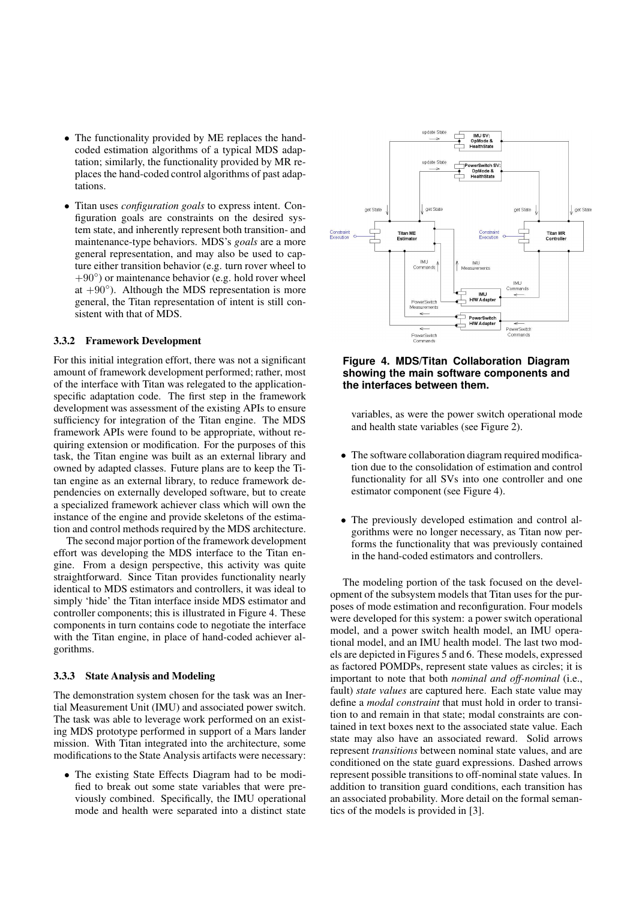- The functionality provided by ME replaces the handcoded estimation algorithms of a typical MDS adaptation; similarly, the functionality provided by MR replaces the hand-coded control algorithms of past adaptations.
- Titan uses *configuration goals* to express intent. Configuration goals are constraints on the desired system state, and inherently represent both transition- and maintenance-type behaviors. MDS's *goals* are a more general representation, and may also be used to capture either transition behavior (e.g. turn rover wheel to +90<sup>°</sup>) or maintenance behavior (e.g. hold rover wheel at  $+90^\circ$ ). Although the MDS representation is more general, the Titan representation of intent is still consistent with that of MDS.

#### **3.3.2 Framework Development**

For this initial integration effort, there was not a significant amount of framework development performed; rather, most of the interface with Titan was relegated to the applicationspecific adaptation code. The first step in the framework development was assessment of the existing APIs to ensure sufficiency for integration of the Titan engine. The MDS framework APIs were found to be appropriate, without requiring extension or modification. For the purposes of this task, the Titan engine was built as an external library and owned by adapted classes. Future plans are to keep the Titan engine as an external library, to reduce framework dependencies on externally developed software, but to create a specialized framework achiever class which will own the instance of the engine and provide skeletons of the estimation and control methods required by the MDS architecture.

The second major portion of the framework development effort was developing the MDS interface to the Titan engine. From a design perspective, this activity was quite straightforward. Since Titan provides functionality nearly identical to MDS estimators and controllers, it was ideal to simply 'hide' the Titan interface inside MDS estimator and controller components; this is illustrated in Figure 4. These components in turn contains code to negotiate the interface with the Titan engine, in place of hand-coded achiever algorithms.

#### **3.3.3 State Analysis and Modeling**

The demonstration system chosen for the task was an Inertial Measurement Unit (IMU) and associated power switch. The task was able to leverage work performed on an existing MDS prototype performed in support of a Mars lander mission. With Titan integrated into the architecture, some modifications to the State Analysis artifacts were necessary:

• The existing State Effects Diagram had to be modified to break out some state variables that were previously combined. Specifically, the IMU operational mode and health were separated into a distinct state



### **Figure 4. MDS/Titan Collaboration Diagram showing the main software components and the interfaces between them.**

variables, as were the power switch operational mode and health state variables (see Figure 2).

- The software collaboration diagram required modification due to the consolidation of estimation and control functionality for all SVs into one controller and one estimator component (see Figure 4).
- The previously developed estimation and control algorithms were no longer necessary, as Titan now performs the functionality that was previously contained in the hand-coded estimators and controllers.

The modeling portion of the task focused on the development of the subsystem models that Titan uses for the purposes of mode estimation and reconfiguration. Four models were developed for this system: a power switch operational model, and a power switch health model, an IMU operational model, and an IMU health model. The last two models are depicted in Figures 5 and 6. These models, expressed as factored POMDPs, represent state values as circles; it is important to note that both *nominal and off-nominal* (i.e., fault) *state values* are captured here. Each state value may define a *modal constraint* that must hold in order to transition to and remain in that state; modal constraints are contained in text boxes next to the associated state value. Each state may also have an associated reward. Solid arrows represent *transitions* between nominal state values, and are conditioned on the state guard expressions. Dashed arrows represent possible transitions to off-nominal state values. In addition to transition guard conditions, each transition has an associated probability. More detail on the formal semantics of the models is provided in [3].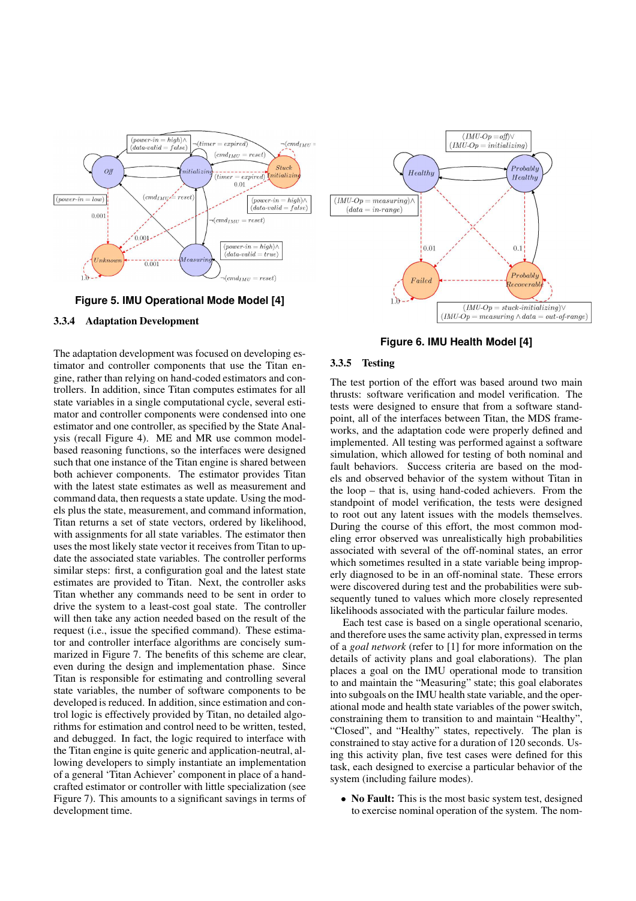

**Figure 5. IMU Operational Mode Model [4]**

#### **3.3.4 Adaptation Development**

The adaptation development was focused on developing estimator and controller components that use the Titan engine, rather than relying on hand-coded estimators and controllers. In addition, since Titan computes estimates for all state variables in a single computational cycle, several estimator and controller components were condensed into one estimator and one controller, as specified by the State Analysis (recall Figure 4). ME and MR use common modelbased reasoning functions, so the interfaces were designed such that one instance of the Titan engine is shared between both achiever components. The estimator provides Titan with the latest state estimates as well as measurement and command data, then requests a state update. Using the models plus the state, measurement, and command information, Titan returns a set of state vectors, ordered by likelihood, with assignments for all state variables. The estimator then uses the most likely state vector it receives from Titan to update the associated state variables. The controller performs similar steps: first, a configuration goal and the latest state estimates are provided to Titan. Next, the controller asks Titan whether any commands need to be sent in order to drive the system to a least-cost goal state. The controller will then take any action needed based on the result of the request (i.e., issue the specified command). These estimator and controller interface algorithms are concisely summarized in Figure 7. The benefits of this scheme are clear, even during the design and implementation phase. Since Titan is responsible for estimating and controlling several state variables, the number of software components to be developed is reduced. In addition, since estimation and control logic is effectively provided by Titan, no detailed algorithms for estimation and control need to be written, tested, and debugged. In fact, the logic required to interface with the Titan engine is quite generic and application-neutral, allowing developers to simply instantiate an implementation of a general 'Titan Achiever' component in place of a handcrafted estimator or controller with little specialization (see Figure 7). This amounts to a significant savings in terms of development time.



**Figure 6. IMU Health Model [4]**

### **3.3.5 Testing**

The test portion of the effort was based around two main thrusts: software verification and model verification. The tests were designed to ensure that from a software standpoint, all of the interfaces between Titan, the MDS frameworks, and the adaptation code were properly defined and implemented. All testing was performed against a software simulation, which allowed for testing of both nominal and fault behaviors. Success criteria are based on the models and observed behavior of the system without Titan in the loop – that is, using hand-coded achievers. From the standpoint of model verification, the tests were designed to root out any latent issues with the models themselves. During the course of this effort, the most common modeling error observed was unrealistically high probabilities associated with several of the off-nominal states, an error which sometimes resulted in a state variable being improperly diagnosed to be in an off-nominal state. These errors were discovered during test and the probabilities were subsequently tuned to values which more closely represented likelihoods associated with the particular failure modes.

Each test case is based on a single operational scenario, and therefore uses the same activity plan, expressed in terms of a *goal network* (refer to [1] for more information on the details of activity plans and goal elaborations). The plan places a goal on the IMU operational mode to transition to and maintain the "Measuring" state; this goal elaborates into subgoals on the IMU health state variable, and the operational mode and health state variables of the power switch, constraining them to transition to and maintain "Healthy", "Closed", and "Healthy" states, repectively. The plan is constrained to stay active for a duration of 120 seconds. Using this activity plan, five test cases were defined for this task, each designed to exercise a particular behavior of the system (including failure modes).

• **No Fault:** This is the most basic system test, designed to exercise nominal operation of the system. The nom-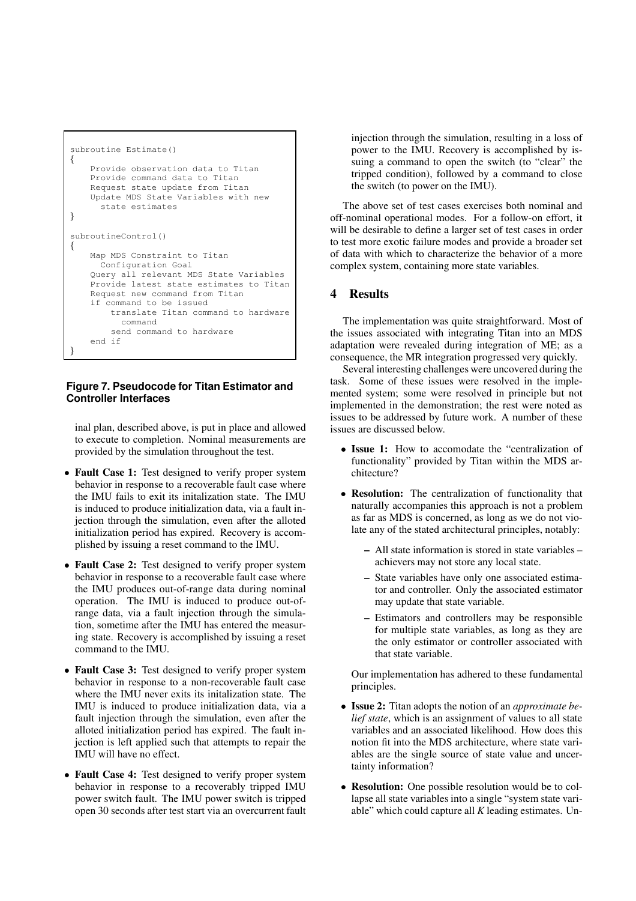```
subroutine Estimate()
{
    Provide observation data to Titan
   Provide command data to Titan
    Request state update from Titan
    Update MDS State Variables with new
      state estimates
}
subroutineControl()
{
   Map MDS Constraint to Titan
      Configuration Goal
    Query all relevant MDS State Variables
    Provide latest state estimates to Titan
    Request new command from Titan
    if command to be issued
        translate Titan command to hardware
          command
        send command to hardware
    end if
}
```
### **Figure 7. Pseudocode for Titan Estimator and Controller Interfaces**

inal plan, described above, is put in place and allowed to execute to completion. Nominal measurements are provided by the simulation throughout the test.

- **Fault Case 1:** Test designed to verify proper system behavior in response to a recoverable fault case where the IMU fails to exit its initalization state. The IMU is induced to produce initialization data, via a fault injection through the simulation, even after the alloted initialization period has expired. Recovery is accomplished by issuing a reset command to the IMU.
- **Fault Case 2:** Test designed to verify proper system behavior in response to a recoverable fault case where the IMU produces out-of-range data during nominal operation. The IMU is induced to produce out-ofrange data, via a fault injection through the simulation, sometime after the IMU has entered the measuring state. Recovery is accomplished by issuing a reset command to the IMU.
- **Fault Case 3:** Test designed to verify proper system behavior in response to a non-recoverable fault case where the IMU never exits its initalization state. The IMU is induced to produce initialization data, via a fault injection through the simulation, even after the alloted initialization period has expired. The fault injection is left applied such that attempts to repair the IMU will have no effect.
- **Fault Case 4:** Test designed to verify proper system behavior in response to a recoverably tripped IMU power switch fault. The IMU power switch is tripped open 30 seconds after test start via an overcurrent fault

injection through the simulation, resulting in a loss of power to the IMU. Recovery is accomplished by issuing a command to open the switch (to "clear" the tripped condition), followed by a command to close the switch (to power on the IMU).

The above set of test cases exercises both nominal and off-nominal operational modes. For a follow-on effort, it will be desirable to define a larger set of test cases in order to test more exotic failure modes and provide a broader set of data with which to characterize the behavior of a more complex system, containing more state variables.

# **4 Results**

The implementation was quite straightforward. Most of the issues associated with integrating Titan into an MDS adaptation were revealed during integration of ME; as a consequence, the MR integration progressed very quickly.

Several interesting challenges were uncovered during the task. Some of these issues were resolved in the implemented system; some were resolved in principle but not implemented in the demonstration; the rest were noted as issues to be addressed by future work. A number of these issues are discussed below.

- **Issue 1:** How to accomodate the "centralization of functionality" provided by Titan within the MDS architecture?
- **Resolution:** The centralization of functionality that naturally accompanies this approach is not a problem as far as MDS is concerned, as long as we do not violate any of the stated architectural principles, notably:
	- **–** All state information is stored in state variables achievers may not store any local state.
	- **–** State variables have only one associated estimator and controller. Only the associated estimator may update that state variable.
	- **–** Estimators and controllers may be responsible for multiple state variables, as long as they are the only estimator or controller associated with that state variable.

Our implementation has adhered to these fundamental principles.

- **Issue 2:** Titan adopts the notion of an *approximate belief state*, which is an assignment of values to all state variables and an associated likelihood. How does this notion fit into the MDS architecture, where state variables are the single source of state value and uncertainty information?
- **Resolution:** One possible resolution would be to collapse all state variables into a single "system state variable" which could capture all *K* leading estimates. Un-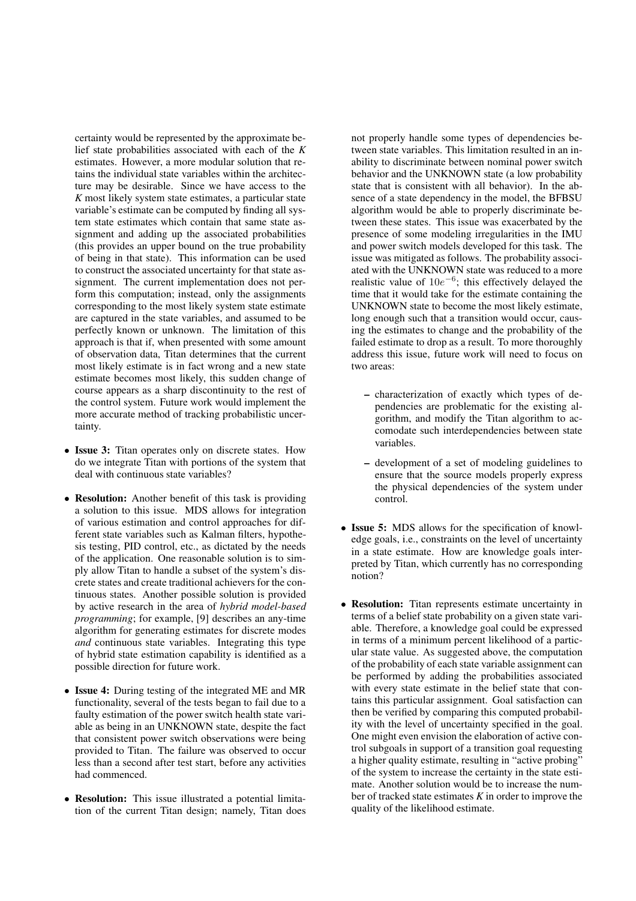certainty would be represented by the approximate belief state probabilities associated with each of the *K* estimates. However, a more modular solution that retains the individual state variables within the architecture may be desirable. Since we have access to the *K* most likely system state estimates, a particular state variable's estimate can be computed by finding all system state estimates which contain that same state assignment and adding up the associated probabilities (this provides an upper bound on the true probability of being in that state). This information can be used to construct the associated uncertainty for that state assignment. The current implementation does not perform this computation; instead, only the assignments corresponding to the most likely system state estimate are captured in the state variables, and assumed to be perfectly known or unknown. The limitation of this approach is that if, when presented with some amount of observation data, Titan determines that the current most likely estimate is in fact wrong and a new state estimate becomes most likely, this sudden change of course appears as a sharp discontinuity to the rest of the control system. Future work would implement the more accurate method of tracking probabilistic uncertainty.

- **Issue 3:** Titan operates only on discrete states. How do we integrate Titan with portions of the system that deal with continuous state variables?
- **Resolution:** Another benefit of this task is providing a solution to this issue. MDS allows for integration of various estimation and control approaches for different state variables such as Kalman filters, hypothesis testing, PID control, etc., as dictated by the needs of the application. One reasonable solution is to simply allow Titan to handle a subset of the system's discrete states and create traditional achievers for the continuous states. Another possible solution is provided by active research in the area of *hybrid model-based programming*; for example, [9] describes an any-time algorithm for generating estimates for discrete modes *and* continuous state variables. Integrating this type of hybrid state estimation capability is identified as a possible direction for future work.
- **Issue 4:** During testing of the integrated ME and MR functionality, several of the tests began to fail due to a faulty estimation of the power switch health state variable as being in an UNKNOWN state, despite the fact that consistent power switch observations were being provided to Titan. The failure was observed to occur less than a second after test start, before any activities had commenced.
- **Resolution:** This issue illustrated a potential limitation of the current Titan design; namely, Titan does

not properly handle some types of dependencies between state variables. This limitation resulted in an inability to discriminate between nominal power switch behavior and the UNKNOWN state (a low probability state that is consistent with all behavior). In the absence of a state dependency in the model, the BFBSU algorithm would be able to properly discriminate between these states. This issue was exacerbated by the presence of some modeling irregularities in the IMU and power switch models developed for this task. The issue was mitigated as follows. The probability associated with the UNKNOWN state was reduced to a more realistic value of  $10e^{-6}$ ; this effectively delayed the time that it would take for the estimate containing the UNKNOWN state to become the most likely estimate, long enough such that a transition would occur, causing the estimates to change and the probability of the failed estimate to drop as a result. To more thoroughly address this issue, future work will need to focus on two areas:

- **–** characterization of exactly which types of dependencies are problematic for the existing algorithm, and modify the Titan algorithm to accomodate such interdependencies between state variables.
- **–** development of a set of modeling guidelines to ensure that the source models properly express the physical dependencies of the system under control.
- **Issue 5:** MDS allows for the specification of knowledge goals, i.e., constraints on the level of uncertainty in a state estimate. How are knowledge goals interpreted by Titan, which currently has no corresponding notion?
- **Resolution:** Titan represents estimate uncertainty in terms of a belief state probability on a given state variable. Therefore, a knowledge goal could be expressed in terms of a minimum percent likelihood of a particular state value. As suggested above, the computation of the probability of each state variable assignment can be performed by adding the probabilities associated with every state estimate in the belief state that contains this particular assignment. Goal satisfaction can then be verified by comparing this computed probability with the level of uncertainty specified in the goal. One might even envision the elaboration of active control subgoals in support of a transition goal requesting a higher quality estimate, resulting in "active probing" of the system to increase the certainty in the state estimate. Another solution would be to increase the number of tracked state estimates *K* in order to improve the quality of the likelihood estimate.